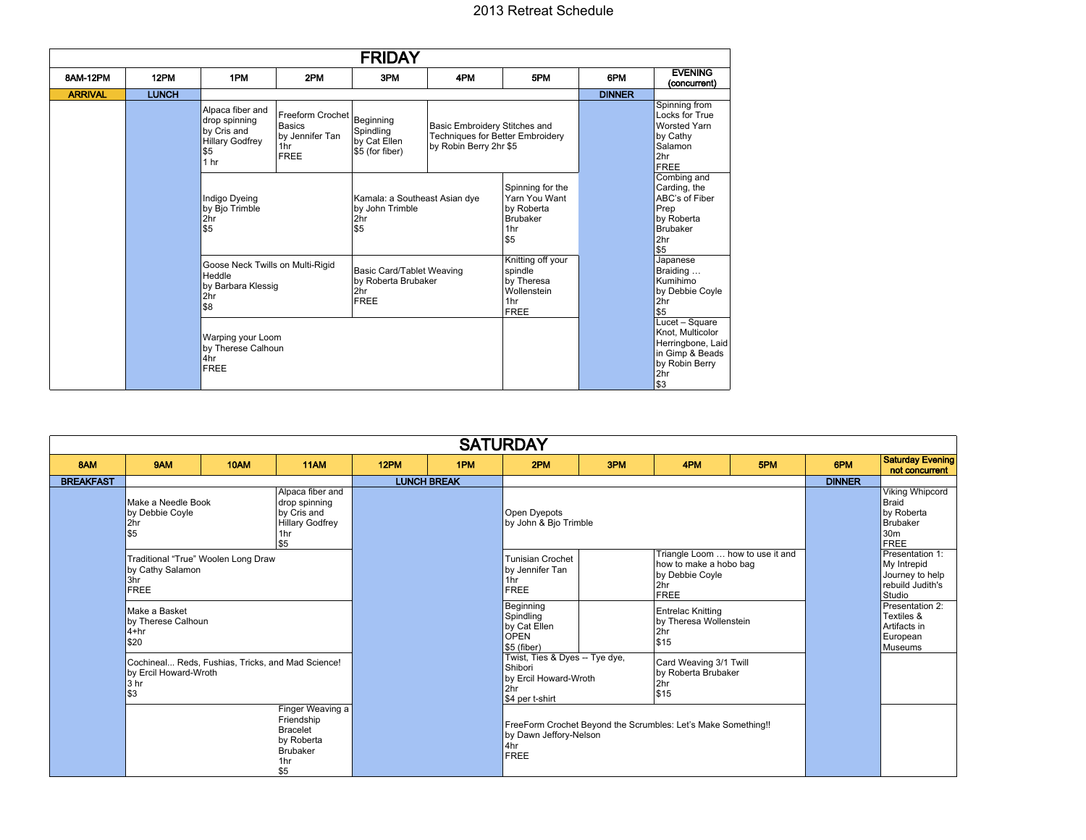## 2013 Retreat Schedule

| <b>FRIDAY</b>  |              |                                                                                                      |                                                                            |                                                                                                                                          |                                                                                                    |                                                                                  |               |                                                                                                             |  |  |
|----------------|--------------|------------------------------------------------------------------------------------------------------|----------------------------------------------------------------------------|------------------------------------------------------------------------------------------------------------------------------------------|----------------------------------------------------------------------------------------------------|----------------------------------------------------------------------------------|---------------|-------------------------------------------------------------------------------------------------------------|--|--|
| 8AM-12PM       | 12PM         | 1PM                                                                                                  | 2PM                                                                        | 3PM                                                                                                                                      | 4PM                                                                                                | 5PM                                                                              | 6PM           | <b>EVENING</b><br>(concurrent)                                                                              |  |  |
| <b>ARRIVAL</b> | <b>LUNCH</b> |                                                                                                      |                                                                            |                                                                                                                                          |                                                                                                    |                                                                                  | <b>DINNER</b> |                                                                                                             |  |  |
|                |              | Alpaca fiber and<br>drop spinning<br>by Cris and<br><b>Hillary Godfrey</b><br>\$5<br>1 <sub>hr</sub> | Freeform Crochet<br><b>Basics</b><br>by Jennifer Tan<br>1hr<br><b>FREE</b> | Beginning<br>Spindling<br>by Cat Ellen<br>\$5 (for fiber)                                                                                | Basic Embroidery Stitches and<br><b>Techniques for Better Embroidery</b><br>by Robin Berry 2hr \$5 |                                                                                  |               | Spinning from<br>Locks for True<br><b>Worsted Yarn</b><br>by Cathy<br>Salamon<br>2hr<br><b>FREE</b>         |  |  |
|                |              | Indigo Dyeing<br>by Bjo Trimble<br>2hr<br>\$5                                                        |                                                                            | Kamala: a Southeast Asian dye<br>by John Trimble<br>2hr<br>\$5<br>Basic Card/Tablet Weaving<br>by Roberta Brubaker<br>2hr<br><b>FREE</b> |                                                                                                    | Spinning for the<br>Yarn You Want<br>by Roberta<br><b>Brubaker</b><br>1hr<br>\$5 |               | Combing and<br>Carding, the<br>ABC's of Fiber<br>Prep<br>by Roberta<br><b>Brubaker</b><br>2hr<br>\$5        |  |  |
|                |              | Goose Neck Twills on Multi-Rigid<br>Heddle<br>by Barbara Klessig<br>2hr<br>\$8                       |                                                                            |                                                                                                                                          |                                                                                                    | Knitting off your<br>spindle<br>by Theresa<br>Wollenstein<br>1hr<br><b>FREE</b>  |               | Japanese<br>Braiding<br>Kumihimo<br>by Debbie Coyle<br>2 <sub>hr</sub><br>\$5                               |  |  |
|                |              | Warping your Loom<br>by Therese Calhoun<br>4hr<br><b>FREE</b>                                        |                                                                            |                                                                                                                                          |                                                                                                    |                                                                                  |               | Lucet - Square<br>Knot, Multicolor<br>Herringbone, Laid<br>in Gimp & Beads<br>by Robin Berry<br>2hr<br>l\$3 |  |  |

| <b>SATURDAY</b>                                                                                                                                 |                                                                                                  |                                       |             |                    |                                                                                                               |                                                                      |                                                                                                     |                                                                   |     |                                                                                 |                                                                      |
|-------------------------------------------------------------------------------------------------------------------------------------------------|--------------------------------------------------------------------------------------------------|---------------------------------------|-------------|--------------------|---------------------------------------------------------------------------------------------------------------|----------------------------------------------------------------------|-----------------------------------------------------------------------------------------------------|-------------------------------------------------------------------|-----|---------------------------------------------------------------------------------|----------------------------------------------------------------------|
| 8AM                                                                                                                                             | 9AM                                                                                              | 10AM                                  | <b>11AM</b> | 12PM               | 1PM                                                                                                           | 2PM                                                                  | 3PM                                                                                                 | 4PM                                                               | 5PM | 6PM                                                                             | <b>Saturday Evening</b><br>not concurrent                            |
| <b>BREAKFAST</b>                                                                                                                                |                                                                                                  |                                       |             | <b>LUNCH BREAK</b> |                                                                                                               |                                                                      |                                                                                                     |                                                                   |     | <b>DINNER</b>                                                                   |                                                                      |
| Alpaca fiber and<br>Make a Needle Book<br>drop spinning<br>by Cris and<br>by Debbie Coyle<br><b>Hillary Godfrey</b><br>2hr<br>\$5<br>1hr<br>ls5 |                                                                                                  | Open Dyepots<br>by John & Bjo Trimble |             |                    |                                                                                                               |                                                                      | Viking Whipcord<br><b>Braid</b><br>by Roberta<br>Brubaker<br>30 <sub>m</sub><br><b>FREE</b>         |                                                                   |     |                                                                                 |                                                                      |
|                                                                                                                                                 | Traditional "True" Woolen Long Draw<br>by Cathy Salamon<br>3hr<br><b>FREE</b>                    |                                       |             |                    | <b>Tunisian Crochet</b><br>by Jennifer Tan<br>1hr<br><b>FREE</b>                                              |                                                                      | Triangle Loom  how to use it and<br>how to make a hobo bag<br>by Debbie Coyle<br>2hr<br><b>FREE</b> |                                                                   |     | Presentation 1:<br>My Intrepid<br>Journey to help<br>rebuild Judith's<br>Studio |                                                                      |
|                                                                                                                                                 | Make a Basket<br>by Therese Calhoun<br>$4 + hr$<br>\$20                                          |                                       |             |                    |                                                                                                               | Beginning<br>Spindling<br>by Cat Ellen<br><b>OPEN</b><br>\$5 (fiber) |                                                                                                     | <b>Entrelac Knitting</b><br>by Theresa Wollenstein<br>2hr<br>\$15 |     |                                                                                 | Presentation 2:<br>Textiles &<br>Artifacts in<br>European<br>Museums |
|                                                                                                                                                 | Cochineal Reds, Fushias, Tricks, and Mad Science!<br>by Ercil Howard-Wroth<br>3 hr<br>\$3        |                                       |             |                    | Twist, Ties & Dyes -- Tye dye,<br>Shibori<br>by Ercil Howard-Wroth<br>2hr<br>\$4 per t-shirt                  |                                                                      | Card Weaving 3/1 Twill<br>by Roberta Brubaker<br>2hr<br>\$15                                        |                                                                   |     |                                                                                 |                                                                      |
|                                                                                                                                                 | Finger Weaving a<br>Friendship<br><b>Bracelet</b><br>by Roberta<br><b>Brubaker</b><br>1hr<br>\$5 |                                       |             |                    | FreeForm Crochet Beyond the Scrumbles: Let's Make Something!!<br>by Dawn Jeffory-Nelson<br>4hr<br><b>FREE</b> |                                                                      |                                                                                                     |                                                                   |     |                                                                                 |                                                                      |